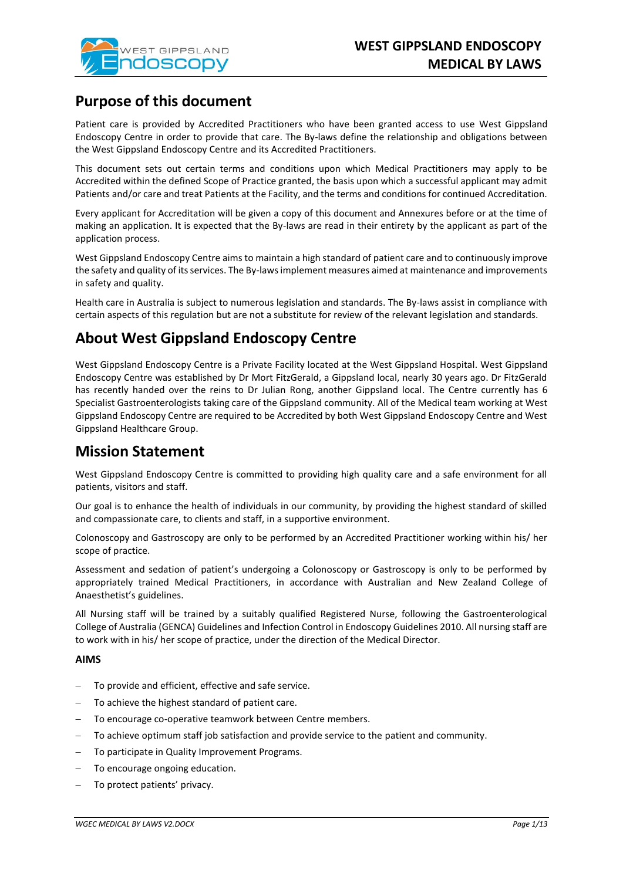

## **Purpose of this document**

Patient care is provided by Accredited Practitioners who have been granted access to use West Gippsland Endoscopy Centre in order to provide that care. The By-laws define the relationship and obligations between the West Gippsland Endoscopy Centre and its Accredited Practitioners.

This document sets out certain terms and conditions upon which Medical Practitioners may apply to be Accredited within the defined Scope of Practice granted, the basis upon which a successful applicant may admit Patients and/or care and treat Patients at the Facility, and the terms and conditions for continued Accreditation.

Every applicant for Accreditation will be given a copy of this document and Annexures before or at the time of making an application. It is expected that the By-laws are read in their entirety by the applicant as part of the application process.

West Gippsland Endoscopy Centre aims to maintain a high standard of patient care and to continuously improve the safety and quality of its services. The By-laws implement measures aimed at maintenance and improvements in safety and quality.

Health care in Australia is subject to numerous legislation and standards. The By-laws assist in compliance with certain aspects of this regulation but are not a substitute for review of the relevant legislation and standards.

# **About West Gippsland Endoscopy Centre**

West Gippsland Endoscopy Centre is a Private Facility located at the West Gippsland Hospital. West Gippsland Endoscopy Centre was established by Dr Mort FitzGerald, a Gippsland local, nearly 30 years ago. Dr FitzGerald has recently handed over the reins to Dr Julian Rong, another Gippsland local. The Centre currently has 6 Specialist Gastroenterologists taking care of the Gippsland community. All of the Medical team working at West Gippsland Endoscopy Centre are required to be Accredited by both West Gippsland Endoscopy Centre and West Gippsland Healthcare Group.

## **Mission Statement**

West Gippsland Endoscopy Centre is committed to providing high quality care and a safe environment for all patients, visitors and staff.

Our goal is to enhance the health of individuals in our community, by providing the highest standard of skilled and compassionate care, to clients and staff, in a supportive environment.

Colonoscopy and Gastroscopy are only to be performed by an Accredited Practitioner working within his/ her scope of practice.

Assessment and sedation of patient's undergoing a Colonoscopy or Gastroscopy is only to be performed by appropriately trained Medical Practitioners, in accordance with Australian and New Zealand College of Anaesthetist's guidelines.

All Nursing staff will be trained by a suitably qualified Registered Nurse, following the Gastroenterological College of Australia (GENCA) Guidelines and Infection Control in Endoscopy Guidelines 2010. All nursing staff are to work with in his/ her scope of practice, under the direction of the Medical Director.

## **AIMS**

- To provide and efficient, effective and safe service.
- To achieve the highest standard of patient care.
- To encourage co-operative teamwork between Centre members.
- To achieve optimum staff job satisfaction and provide service to the patient and community.
- To participate in Quality Improvement Programs.
- To encourage ongoing education.
- To protect patients' privacy.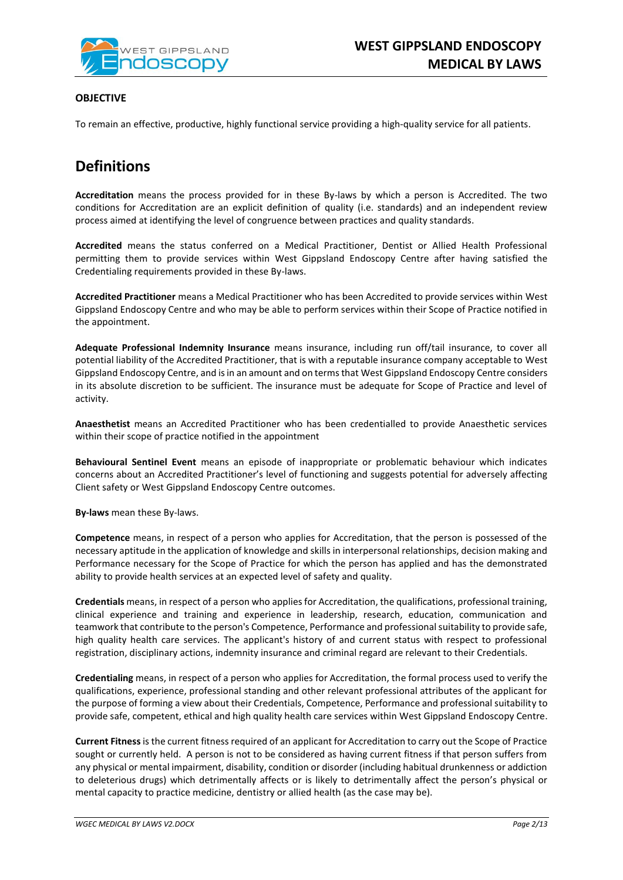

## **OBJECTIVE**

To remain an effective, productive, highly functional service providing a high-quality service for all patients.

# **Definitions**

**Accreditation** means the process provided for in these By-laws by which a person is Accredited. The two conditions for Accreditation are an explicit definition of quality (i.e. standards) and an independent review process aimed at identifying the level of congruence between practices and quality standards.

**Accredited** means the status conferred on a Medical Practitioner, Dentist or Allied Health Professional permitting them to provide services within West Gippsland Endoscopy Centre after having satisfied the Credentialing requirements provided in these By-laws.

**Accredited Practitioner** means a Medical Practitioner who has been Accredited to provide services within West Gippsland Endoscopy Centre and who may be able to perform services within their Scope of Practice notified in the appointment.

**Adequate Professional Indemnity Insurance** means insurance, including run off/tail insurance, to cover all potential liability of the Accredited Practitioner, that is with a reputable insurance company acceptable to West Gippsland Endoscopy Centre, and is in an amount and on terms that West Gippsland Endoscopy Centre considers in its absolute discretion to be sufficient. The insurance must be adequate for Scope of Practice and level of activity.

**Anaesthetist** means an Accredited Practitioner who has been credentialled to provide Anaesthetic services within their scope of practice notified in the appointment

**Behavioural Sentinel Event** means an episode of inappropriate or problematic behaviour which indicates concerns about an Accredited Practitioner's level of functioning and suggests potential for adversely affecting Client safety or West Gippsland Endoscopy Centre outcomes.

**By-laws** mean these By-laws.

**Competence** means, in respect of a person who applies for Accreditation, that the person is possessed of the necessary aptitude in the application of knowledge and skills in interpersonal relationships, decision making and Performance necessary for the Scope of Practice for which the person has applied and has the demonstrated ability to provide health services at an expected level of safety and quality.

**Credentials** means, in respect of a person who applies for Accreditation, the qualifications, professional training, clinical experience and training and experience in leadership, research, education, communication and teamwork that contribute to the person's Competence, Performance and professional suitability to provide safe, high quality health care services. The applicant's history of and current status with respect to professional registration, disciplinary actions, indemnity insurance and criminal regard are relevant to their Credentials.

**Credentialing** means, in respect of a person who applies for Accreditation, the formal process used to verify the qualifications, experience, professional standing and other relevant professional attributes of the applicant for the purpose of forming a view about their Credentials, Competence, Performance and professional suitability to provide safe, competent, ethical and high quality health care services within West Gippsland Endoscopy Centre.

**Current Fitness**is the current fitness required of an applicant for Accreditation to carry out the Scope of Practice sought or currently held. A person is not to be considered as having current fitness if that person suffers from any physical or mental impairment, disability, condition or disorder (including habitual drunkenness or addiction to deleterious drugs) which detrimentally affects or is likely to detrimentally affect the person's physical or mental capacity to practice medicine, dentistry or allied health (as the case may be).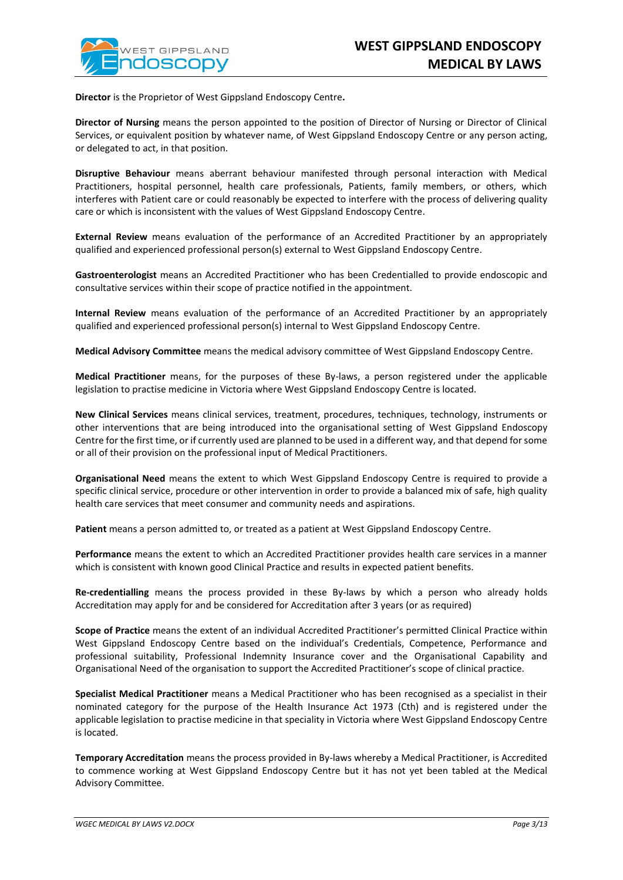**Director** is the Proprietor of West Gippsland Endoscopy Centre**.**

**Director of Nursing** means the person appointed to the position of Director of Nursing or Director of Clinical Services, or equivalent position by whatever name, of West Gippsland Endoscopy Centre or any person acting, or delegated to act, in that position.

**Disruptive Behaviour** means aberrant behaviour manifested through personal interaction with Medical Practitioners, hospital personnel, health care professionals, Patients, family members, or others, which interferes with Patient care or could reasonably be expected to interfere with the process of delivering quality care or which is inconsistent with the values of West Gippsland Endoscopy Centre.

**External Review** means evaluation of the performance of an Accredited Practitioner by an appropriately qualified and experienced professional person(s) external to West Gippsland Endoscopy Centre.

**Gastroenterologist** means an Accredited Practitioner who has been Credentialled to provide endoscopic and consultative services within their scope of practice notified in the appointment.

**Internal Review** means evaluation of the performance of an Accredited Practitioner by an appropriately qualified and experienced professional person(s) internal to West Gippsland Endoscopy Centre.

**Medical Advisory Committee** means the medical advisory committee of West Gippsland Endoscopy Centre.

**Medical Practitioner** means, for the purposes of these By-laws, a person registered under the applicable legislation to practise medicine in Victoria where West Gippsland Endoscopy Centre is located.

**New Clinical Services** means clinical services, treatment, procedures, techniques, technology, instruments or other interventions that are being introduced into the organisational setting of West Gippsland Endoscopy Centre for the first time, or if currently used are planned to be used in a different way, and that depend for some or all of their provision on the professional input of Medical Practitioners.

**Organisational Need** means the extent to which West Gippsland Endoscopy Centre is required to provide a specific clinical service, procedure or other intervention in order to provide a balanced mix of safe, high quality health care services that meet consumer and community needs and aspirations.

**Patient** means a person admitted to, or treated as a patient at West Gippsland Endoscopy Centre.

**Performance** means the extent to which an Accredited Practitioner provides health care services in a manner which is consistent with known good Clinical Practice and results in expected patient benefits.

**Re-credentialling** means the process provided in these By-laws by which a person who already holds Accreditation may apply for and be considered for Accreditation after 3 years (or as required)

**Scope of Practice** means the extent of an individual Accredited Practitioner's permitted Clinical Practice within West Gippsland Endoscopy Centre based on the individual's Credentials, Competence, Performance and professional suitability, Professional Indemnity Insurance cover and the Organisational Capability and Organisational Need of the organisation to support the Accredited Practitioner's scope of clinical practice.

**Specialist Medical Practitioner** means a Medical Practitioner who has been recognised as a specialist in their nominated category for the purpose of the Health Insurance Act 1973 (Cth) and is registered under the applicable legislation to practise medicine in that speciality in Victoria where West Gippsland Endoscopy Centre is located.

**Temporary Accreditation** means the process provided in By-laws whereby a Medical Practitioner, is Accredited to commence working at West Gippsland Endoscopy Centre but it has not yet been tabled at the Medical Advisory Committee.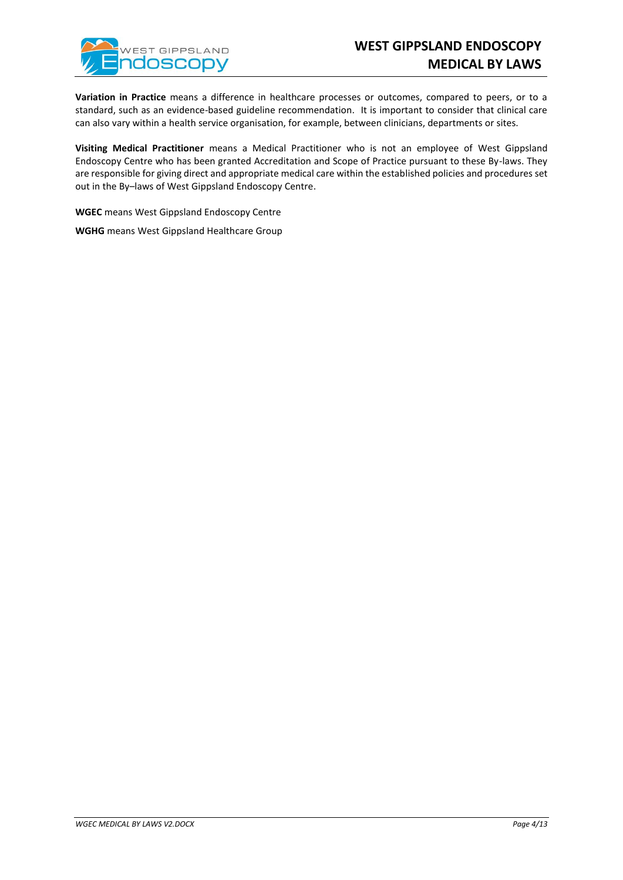

**Variation in Practice** means a difference in healthcare processes or outcomes, compared to peers, or to a standard, such as an evidence-based guideline recommendation. It is important to consider that clinical care can also vary within a health service organisation, for example, between clinicians, departments or sites.

**Visiting Medical Practitioner** means a Medical Practitioner who is not an employee of West Gippsland Endoscopy Centre who has been granted Accreditation and Scope of Practice pursuant to these By-laws. They are responsible for giving direct and appropriate medical care within the established policies and procedures set out in the By–laws of West Gippsland Endoscopy Centre.

**WGEC** means West Gippsland Endoscopy Centre

**WGHG** means West Gippsland Healthcare Group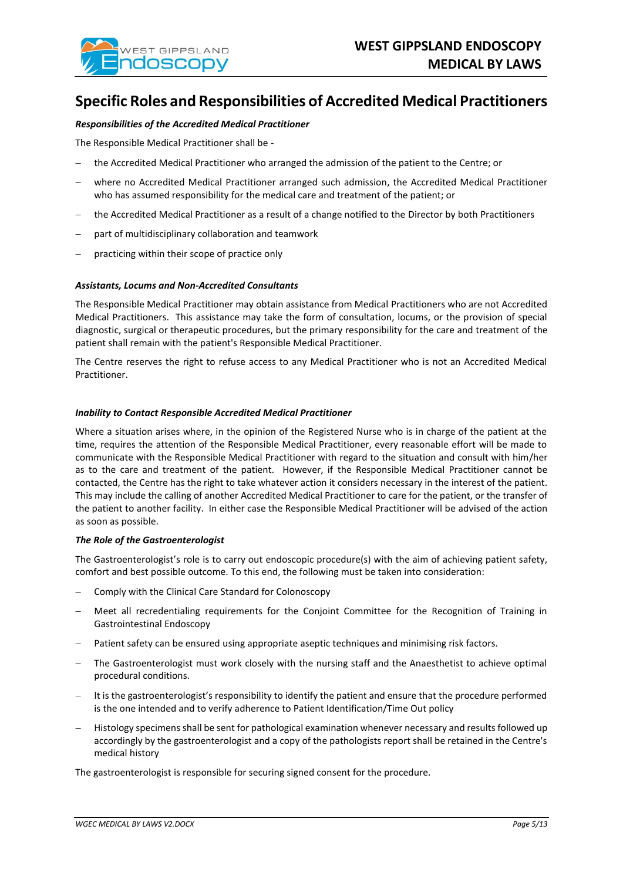

## **Specific Roles and Responsibilities of Accredited Medical Practitioners**

#### *Responsibilities of the Accredited Medical Practitioner*

The Responsible Medical Practitioner shall be -

- − the Accredited Medical Practitioner who arranged the admission of the patient to the Centre; or
- − where no Accredited Medical Practitioner arranged such admission, the Accredited Medical Practitioner who has assumed responsibility for the medical care and treatment of the patient; or
- − the Accredited Medical Practitioner as a result of a change notified to the Director by both Practitioners
- part of multidisciplinary collaboration and teamwork
- practicing within their scope of practice only

#### *Assistants, Locums and Non-Accredited Consultants*

The Responsible Medical Practitioner may obtain assistance from Medical Practitioners who are not Accredited Medical Practitioners. This assistance may take the form of consultation, locums, or the provision of special diagnostic, surgical or therapeutic procedures, but the primary responsibility for the care and treatment of the patient shall remain with the patient's Responsible Medical Practitioner.

The Centre reserves the right to refuse access to any Medical Practitioner who is not an Accredited Medical Practitioner.

#### *Inability to Contact Responsible Accredited Medical Practitioner*

Where a situation arises where, in the opinion of the Registered Nurse who is in charge of the patient at the time, requires the attention of the Responsible Medical Practitioner, every reasonable effort will be made to communicate with the Responsible Medical Practitioner with regard to the situation and consult with him/her as to the care and treatment of the patient. However, if the Responsible Medical Practitioner cannot be contacted, the Centre has the right to take whatever action it considers necessary in the interest of the patient. This may include the calling of another Accredited Medical Practitioner to care for the patient, or the transfer of the patient to another facility. In either case the Responsible Medical Practitioner will be advised of the action as soon as possible.

#### *The Role of the Gastroenterologist*

The Gastroenterologist's role is to carry out endoscopic procedure(s) with the aim of achieving patient safety, comfort and best possible outcome. To this end, the following must be taken into consideration:

- − Comply with the Clinical Care Standard for Colonoscopy
- − Meet all recredentialing requirements for the Conjoint Committee for the Recognition of Training in Gastrointestinal Endoscopy
- Patient safety can be ensured using appropriate aseptic techniques and minimising risk factors.
- The Gastroenterologist must work closely with the nursing staff and the Anaesthetist to achieve optimal procedural conditions.
- It is the gastroenterologist's responsibility to identify the patient and ensure that the procedure performed is the one intended and to verify adherence to Patient Identification/Time Out policy
- − Histology specimens shall be sent for pathological examination whenever necessary and results followed up accordingly by the gastroenterologist and a copy of the pathologists report shall be retained in the Centre's medical history

The gastroenterologist is responsible for securing signed consent for the procedure.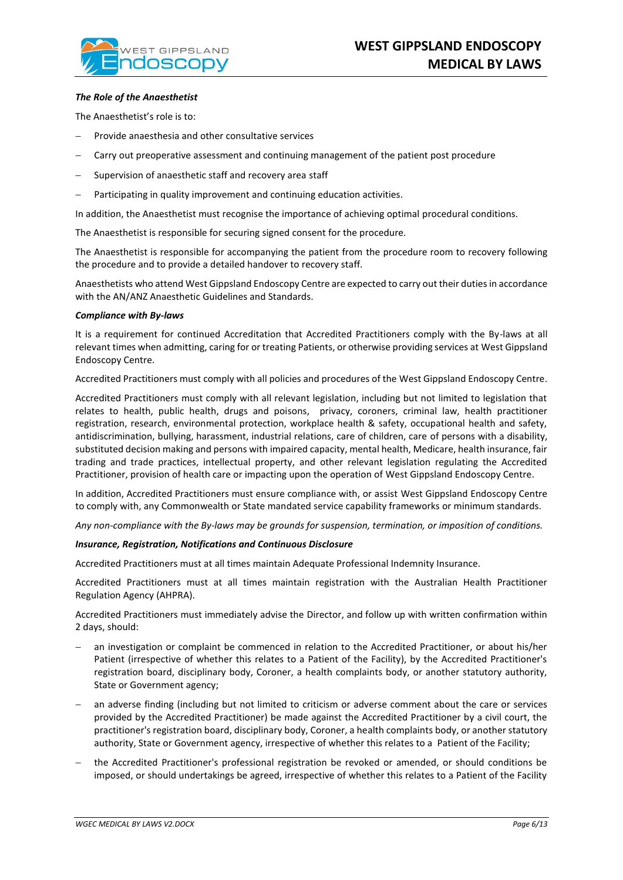### *The Role of the Anaesthetist*

The Anaesthetist's role is to:

- Provide anaesthesia and other consultative services
- Carry out preoperative assessment and continuing management of the patient post procedure
- Supervision of anaesthetic staff and recovery area staff
- Participating in quality improvement and continuing education activities.

In addition, the Anaesthetist must recognise the importance of achieving optimal procedural conditions.

The Anaesthetist is responsible for securing signed consent for the procedure.

The Anaesthetist is responsible for accompanying the patient from the procedure room to recovery following the procedure and to provide a detailed handover to recovery staff.

Anaesthetists who attend West Gippsland Endoscopy Centre are expected to carry out their duties in accordance with the AN/ANZ Anaesthetic Guidelines and Standards.

#### *Compliance with By-laws*

It is a requirement for continued Accreditation that Accredited Practitioners comply with the By-laws at all relevant times when admitting, caring for or treating Patients, or otherwise providing services at West Gippsland Endoscopy Centre.

Accredited Practitioners must comply with all policies and procedures of the West Gippsland Endoscopy Centre.

Accredited Practitioners must comply with all relevant legislation, including but not limited to legislation that relates to health, public health, drugs and poisons, privacy, coroners, criminal law, health practitioner registration, research, environmental protection, workplace health & safety, occupational health and safety, antidiscrimination, bullying, harassment, industrial relations, care of children, care of persons with a disability, substituted decision making and persons with impaired capacity, mental health, Medicare, health insurance, fair trading and trade practices, intellectual property, and other relevant legislation regulating the Accredited Practitioner, provision of health care or impacting upon the operation of West Gippsland Endoscopy Centre.

In addition, Accredited Practitioners must ensure compliance with, or assist West Gippsland Endoscopy Centre to comply with, any Commonwealth or State mandated service capability frameworks or minimum standards.

*Any non-compliance with the By-laws may be grounds for suspension, termination, or imposition of conditions.*

#### *Insurance, Registration, Notifications and Continuous Disclosure*

Accredited Practitioners must at all times maintain Adequate Professional Indemnity Insurance.

Accredited Practitioners must at all times maintain registration with the Australian Health Practitioner Regulation Agency (AHPRA).

Accredited Practitioners must immediately advise the Director, and follow up with written confirmation within 2 days, should:

- an investigation or complaint be commenced in relation to the Accredited Practitioner, or about his/her Patient (irrespective of whether this relates to a Patient of the Facility), by the Accredited Practitioner's registration board, disciplinary body, Coroner, a health complaints body, or another statutory authority, State or Government agency;
- an adverse finding (including but not limited to criticism or adverse comment about the care or services provided by the Accredited Practitioner) be made against the Accredited Practitioner by a civil court, the practitioner's registration board, disciplinary body, Coroner, a health complaints body, or another statutory authority, State or Government agency, irrespective of whether this relates to a Patient of the Facility;
- − the Accredited Practitioner's professional registration be revoked or amended, or should conditions be imposed, or should undertakings be agreed, irrespective of whether this relates to a Patient of the Facility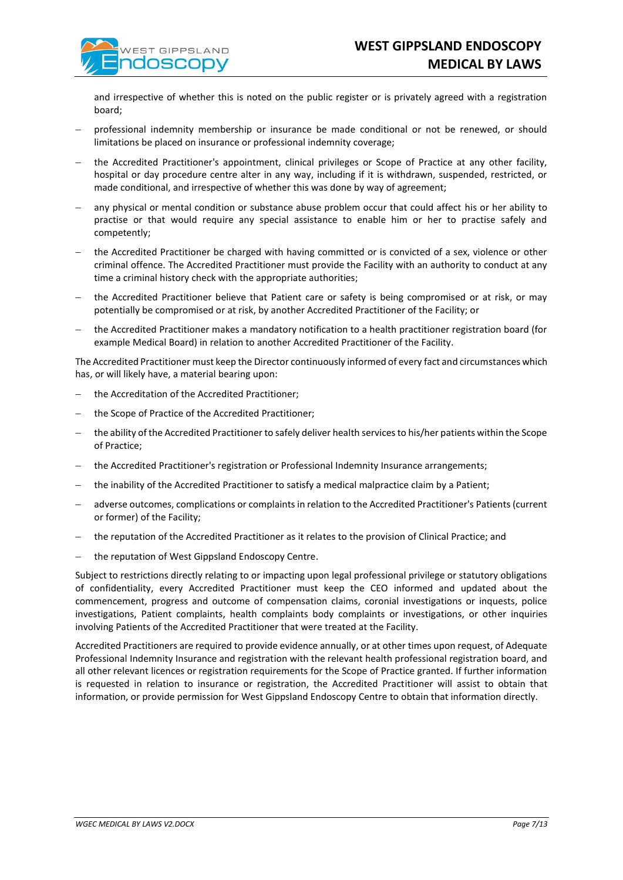and irrespective of whether this is noted on the public register or is privately agreed with a registration board;

- professional indemnity membership or insurance be made conditional or not be renewed, or should limitations be placed on insurance or professional indemnity coverage;
- − the Accredited Practitioner's appointment, clinical privileges or Scope of Practice at any other facility, hospital or day procedure centre alter in any way, including if it is withdrawn, suspended, restricted, or made conditional, and irrespective of whether this was done by way of agreement;
- any physical or mental condition or substance abuse problem occur that could affect his or her ability to practise or that would require any special assistance to enable him or her to practise safely and competently;
- − the Accredited Practitioner be charged with having committed or is convicted of a sex, violence or other criminal offence. The Accredited Practitioner must provide the Facility with an authority to conduct at any time a criminal history check with the appropriate authorities;
- the Accredited Practitioner believe that Patient care or safety is being compromised or at risk, or may potentially be compromised or at risk, by another Accredited Practitioner of the Facility; or
- the Accredited Practitioner makes a mandatory notification to a health practitioner registration board (for example Medical Board) in relation to another Accredited Practitioner of the Facility.

The Accredited Practitioner must keep the Director continuously informed of every fact and circumstances which has, or will likely have, a material bearing upon:

- the Accreditation of the Accredited Practitioner;
- the Scope of Practice of the Accredited Practitioner;
- the ability of the Accredited Practitioner to safely deliver health services to his/her patients within the Scope of Practice;
- the Accredited Practitioner's registration or Professional Indemnity Insurance arrangements;
- the inability of the Accredited Practitioner to satisfy a medical malpractice claim by a Patient;
- − adverse outcomes, complications or complaints in relation to the Accredited Practitioner's Patients (current or former) of the Facility;
- − the reputation of the Accredited Practitioner as it relates to the provision of Clinical Practice; and
- − the reputation of West Gippsland Endoscopy Centre.

Subject to restrictions directly relating to or impacting upon legal professional privilege or statutory obligations of confidentiality, every Accredited Practitioner must keep the CEO informed and updated about the commencement, progress and outcome of compensation claims, coronial investigations or inquests, police investigations, Patient complaints, health complaints body complaints or investigations, or other inquiries involving Patients of the Accredited Practitioner that were treated at the Facility.

Accredited Practitioners are required to provide evidence annually, or at other times upon request, of Adequate Professional Indemnity Insurance and registration with the relevant health professional registration board, and all other relevant licences or registration requirements for the Scope of Practice granted. If further information is requested in relation to insurance or registration, the Accredited Practitioner will assist to obtain that information, or provide permission for West Gippsland Endoscopy Centre to obtain that information directly.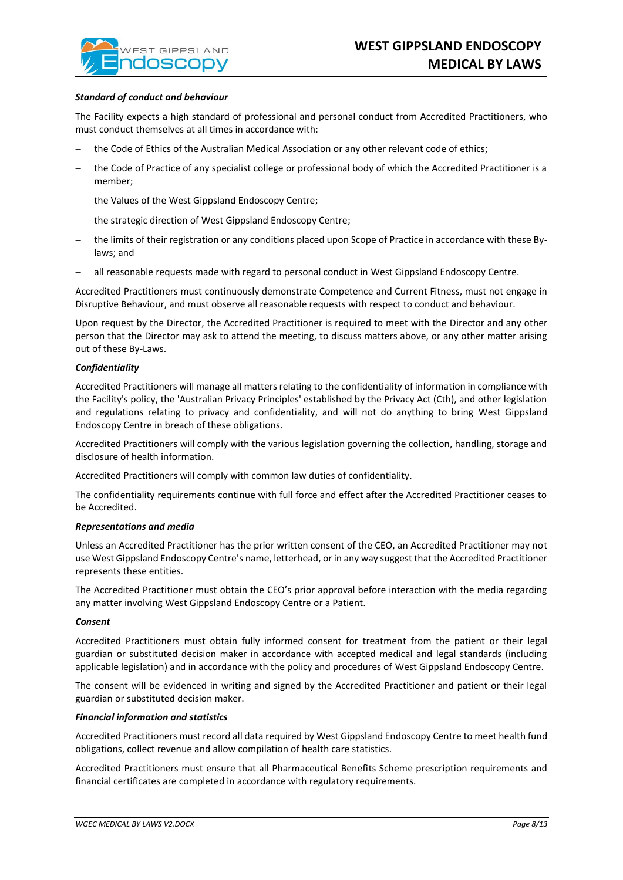#### *Standard of conduct and behaviour*

The Facility expects a high standard of professional and personal conduct from Accredited Practitioners, who must conduct themselves at all times in accordance with:

- the Code of Ethics of the Australian Medical Association or any other relevant code of ethics;
- the Code of Practice of any specialist college or professional body of which the Accredited Practitioner is a member;
- the Values of the West Gippsland Endoscopy Centre;
- the strategic direction of West Gippsland Endoscopy Centre;
- − the limits of their registration or any conditions placed upon Scope of Practice in accordance with these Bylaws; and
- all reasonable requests made with regard to personal conduct in West Gippsland Endoscopy Centre.

Accredited Practitioners must continuously demonstrate Competence and Current Fitness, must not engage in Disruptive Behaviour, and must observe all reasonable requests with respect to conduct and behaviour.

Upon request by the Director, the Accredited Practitioner is required to meet with the Director and any other person that the Director may ask to attend the meeting, to discuss matters above, or any other matter arising out of these By-Laws.

#### *Confidentiality*

Accredited Practitioners will manage all matters relating to the confidentiality of information in compliance with the Facility's policy, the 'Australian Privacy Principles' established by the Privacy Act (Cth), and other legislation and regulations relating to privacy and confidentiality, and will not do anything to bring West Gippsland Endoscopy Centre in breach of these obligations.

Accredited Practitioners will comply with the various legislation governing the collection, handling, storage and disclosure of health information.

Accredited Practitioners will comply with common law duties of confidentiality.

The confidentiality requirements continue with full force and effect after the Accredited Practitioner ceases to be Accredited.

#### *Representations and media*

Unless an Accredited Practitioner has the prior written consent of the CEO, an Accredited Practitioner may not use West Gippsland Endoscopy Centre's name, letterhead, or in any way suggest that the Accredited Practitioner represents these entities.

The Accredited Practitioner must obtain the CEO's prior approval before interaction with the media regarding any matter involving West Gippsland Endoscopy Centre or a Patient.

#### *Consent*

Accredited Practitioners must obtain fully informed consent for treatment from the patient or their legal guardian or substituted decision maker in accordance with accepted medical and legal standards (including applicable legislation) and in accordance with the policy and procedures of West Gippsland Endoscopy Centre.

The consent will be evidenced in writing and signed by the Accredited Practitioner and patient or their legal guardian or substituted decision maker.

#### *Financial information and statistics*

Accredited Practitioners must record all data required by West Gippsland Endoscopy Centre to meet health fund obligations, collect revenue and allow compilation of health care statistics.

Accredited Practitioners must ensure that all Pharmaceutical Benefits Scheme prescription requirements and financial certificates are completed in accordance with regulatory requirements.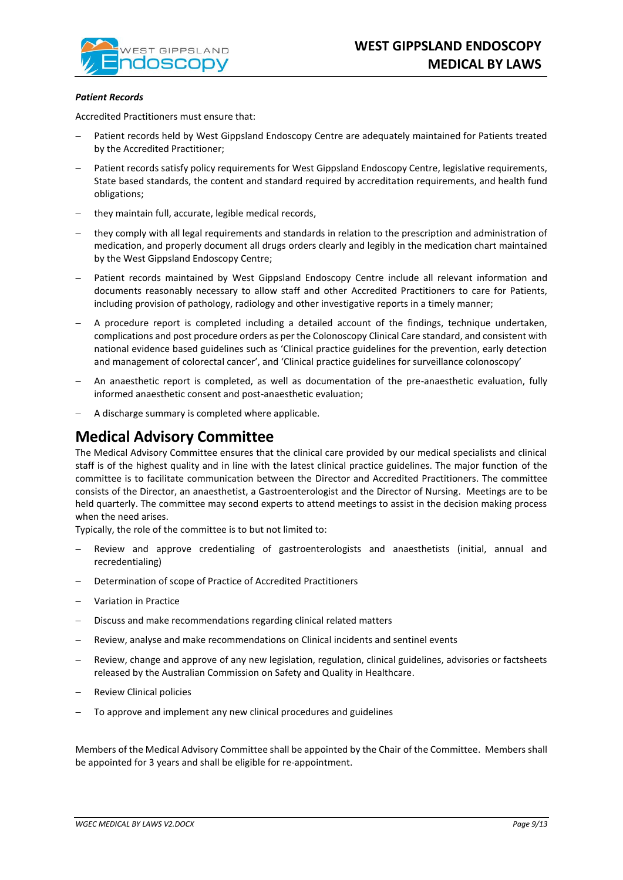

### *Patient Records*

Accredited Practitioners must ensure that:

- Patient records held by West Gippsland Endoscopy Centre are adequately maintained for Patients treated by the Accredited Practitioner;
- Patient records satisfy policy requirements for West Gippsland Endoscopy Centre, legislative requirements, State based standards, the content and standard required by accreditation requirements, and health fund obligations;
- − they maintain full, accurate, legible medical records,
- they comply with all legal requirements and standards in relation to the prescription and administration of medication, and properly document all drugs orders clearly and legibly in the medication chart maintained by the West Gippsland Endoscopy Centre;
- Patient records maintained by West Gippsland Endoscopy Centre include all relevant information and documents reasonably necessary to allow staff and other Accredited Practitioners to care for Patients, including provision of pathology, radiology and other investigative reports in a timely manner;
- A procedure report is completed including a detailed account of the findings, technique undertaken, complications and post procedure orders as per the Colonoscopy Clinical Care standard, and consistent with national evidence based guidelines such as 'Clinical practice guidelines for the prevention, early detection and management of colorectal cancer', and 'Clinical practice guidelines for surveillance colonoscopy'
- − An anaesthetic report is completed, as well as documentation of the pre-anaesthetic evaluation, fully informed anaesthetic consent and post-anaesthetic evaluation;
- − A discharge summary is completed where applicable.

## **Medical Advisory Committee**

The Medical Advisory Committee ensures that the clinical care provided by our medical specialists and clinical staff is of the highest quality and in line with the latest clinical practice guidelines. The major function of the committee is to facilitate communication between the Director and Accredited Practitioners. The committee consists of the Director, an anaesthetist, a Gastroenterologist and the Director of Nursing. Meetings are to be held quarterly. The committee may second experts to attend meetings to assist in the decision making process when the need arises.

Typically, the role of the committee is to but not limited to:

- Review and approve credentialing of gastroenterologists and anaesthetists (initial, annual and recredentialing)
- − Determination of scope of Practice of Accredited Practitioners
- − Variation in Practice
- Discuss and make recommendations regarding clinical related matters
- Review, analyse and make recommendations on Clinical incidents and sentinel events
- Review, change and approve of any new legislation, regulation, clinical guidelines, advisories or factsheets released by the Australian Commission on Safety and Quality in Healthcare.
- − Review Clinical policies
- To approve and implement any new clinical procedures and guidelines

Members of the Medical Advisory Committee shall be appointed by the Chair of the Committee. Members shall be appointed for 3 years and shall be eligible for re-appointment.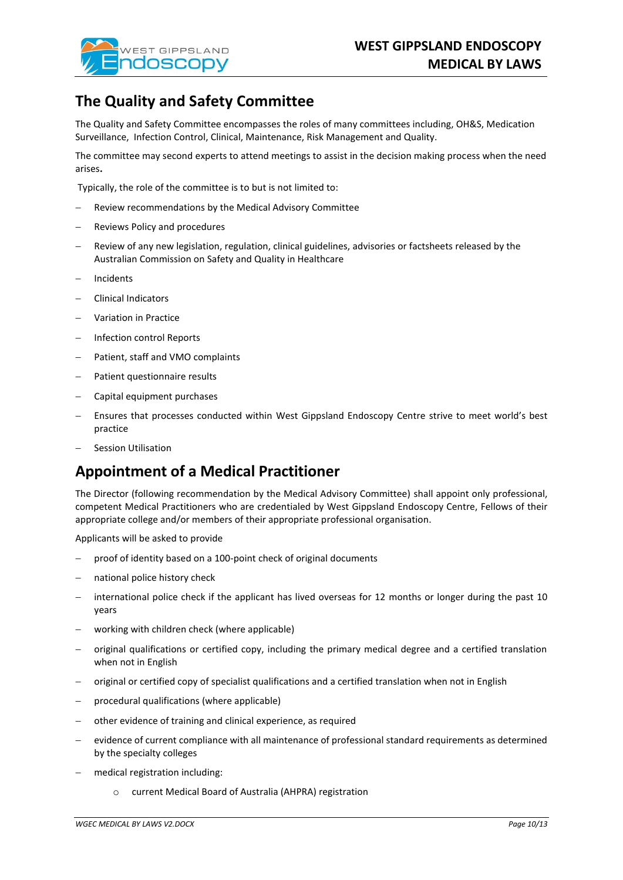

# **The Quality and Safety Committee**

The Quality and Safety Committee encompasses the roles of many committees including, OH&S, Medication Surveillance, Infection Control, Clinical, Maintenance, Risk Management and Quality.

The committee may second experts to attend meetings to assist in the decision making process when the need arises**.** 

Typically, the role of the committee is to but is not limited to:

- Review recommendations by the Medical Advisory Committee
- Reviews Policy and procedures
- Review of any new legislation, regulation, clinical guidelines, advisories or factsheets released by the Australian Commission on Safety and Quality in Healthcare
- − Incidents
- − Clinical Indicators
- − Variation in Practice
- − Infection control Reports
- − Patient, staff and VMO complaints
- Patient questionnaire results
- − Capital equipment purchases
- Ensures that processes conducted within West Gippsland Endoscopy Centre strive to meet world's best practice
- − Session Utilisation

# **Appointment of a Medical Practitioner**

The Director (following recommendation by the Medical Advisory Committee) shall appoint only professional, competent Medical Practitioners who are credentialed by West Gippsland Endoscopy Centre, Fellows of their appropriate college and/or members of their appropriate professional organisation.

Applicants will be asked to provide

- proof of identity based on a 100-point check of original documents
- national police history check
- international police check if the applicant has lived overseas for 12 months or longer during the past 10 years
- working with children check (where applicable)
- − original qualifications or certified copy, including the primary medical degree and a certified translation when not in English
- − original or certified copy of specialist qualifications and a certified translation when not in English
- − procedural qualifications (where applicable)
- other evidence of training and clinical experience, as required
- evidence of current compliance with all maintenance of professional standard requirements as determined by the specialty colleges
- − medical registration including:
	- o current Medical Board of Australia (AHPRA) registration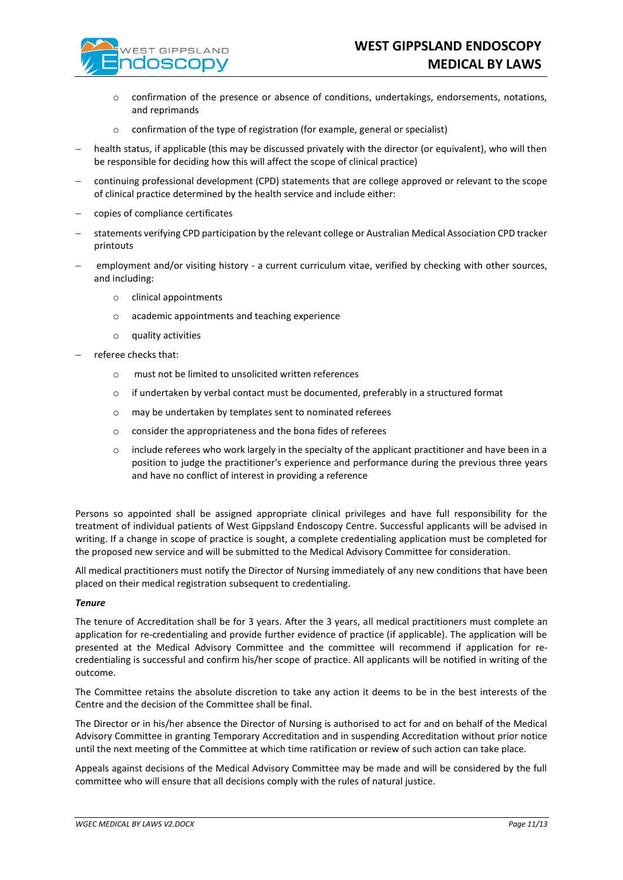

- o confirmation of the presence or absence of conditions, undertakings, endorsements, notations, and reprimands
- o confirmation of the type of registration (for example, general or specialist)
- health status, if applicable (this may be discussed privately with the director (or equivalent), who will then be responsible for deciding how this will affect the scope of clinical practice)
- − continuing professional development (CPD) statements that are college approved or relevant to the scope of clinical practice determined by the health service and include either:
- − copies of compliance certificates
- − statements verifying CPD participation by the relevant college or Australian Medical Association CPD tracker printouts
- employment and/or visiting history a current curriculum vitae, verified by checking with other sources, and including:
	- o clinical appointments
	- o academic appointments and teaching experience
	- o quality activities
- − referee checks that:
	- o must not be limited to unsolicited written references
	- o if undertaken by verbal contact must be documented, preferably in a structured format
	- o may be undertaken by templates sent to nominated referees
	- o consider the appropriateness and the bona fides of referees
	- $\circ$  include referees who work largely in the specialty of the applicant practitioner and have been in a position to judge the practitioner's experience and performance during the previous three years and have no conflict of interest in providing a reference

Persons so appointed shall be assigned appropriate clinical privileges and have full responsibility for the treatment of individual patients of West Gippsland Endoscopy Centre. Successful applicants will be advised in writing. If a change in scope of practice is sought, a complete credentialing application must be completed for the proposed new service and will be submitted to the Medical Advisory Committee for consideration.

All medical practitioners must notify the Director of Nursing immediately of any new conditions that have been placed on their medical registration subsequent to credentialing.

### *Tenure*

The tenure of Accreditation shall be for 3 years. After the 3 years, all medical practitioners must complete an application for re-credentialing and provide further evidence of practice (if applicable). The application will be presented at the Medical Advisory Committee and the committee will recommend if application for recredentialing is successful and confirm his/her scope of practice. All applicants will be notified in writing of the outcome.

The Committee retains the absolute discretion to take any action it deems to be in the best interests of the Centre and the decision of the Committee shall be final.

The Director or in his/her absence the Director of Nursing is authorised to act for and on behalf of the Medical Advisory Committee in granting Temporary Accreditation and in suspending Accreditation without prior notice until the next meeting of the Committee at which time ratification or review of such action can take place.

Appeals against decisions of the Medical Advisory Committee may be made and will be considered by the full committee who will ensure that all decisions comply with the rules of natural justice.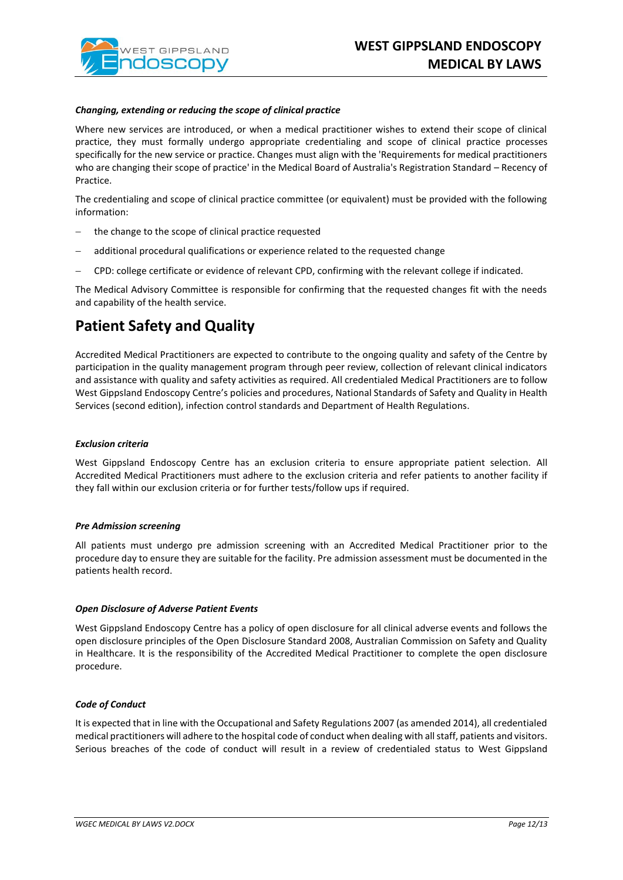

#### *Changing, extending or reducing the scope of clinical practice*

Where new services are introduced, or when a medical practitioner wishes to extend their scope of clinical practice, they must formally undergo appropriate credentialing and scope of clinical practice processes specifically for the new service or practice. Changes must align with the 'Requirements for medical practitioners who are changing their scope of practice' in the Medical Board of Australia's Registration Standard – Recency of Practice.

The credentialing and scope of clinical practice committee (or equivalent) must be provided with the following information:

- the change to the scope of clinical practice requested
- − additional procedural qualifications or experience related to the requested change
- − CPD: college certificate or evidence of relevant CPD, confirming with the relevant college if indicated.

The Medical Advisory Committee is responsible for confirming that the requested changes fit with the needs and capability of the health service.

## **Patient Safety and Quality**

Accredited Medical Practitioners are expected to contribute to the ongoing quality and safety of the Centre by participation in the quality management program through peer review, collection of relevant clinical indicators and assistance with quality and safety activities as required. All credentialed Medical Practitioners are to follow West Gippsland Endoscopy Centre's policies and procedures, National Standards of Safety and Quality in Health Services (second edition), infection control standards and Department of Health Regulations.

### *Exclusion criteria*

West Gippsland Endoscopy Centre has an exclusion criteria to ensure appropriate patient selection. All Accredited Medical Practitioners must adhere to the exclusion criteria and refer patients to another facility if they fall within our exclusion criteria or for further tests/follow ups if required.

#### *Pre Admission screening*

All patients must undergo pre admission screening with an Accredited Medical Practitioner prior to the procedure day to ensure they are suitable for the facility. Pre admission assessment must be documented in the patients health record.

### *Open Disclosure of Adverse Patient Events*

West Gippsland Endoscopy Centre has a policy of open disclosure for all clinical adverse events and follows the open disclosure principles of the Open Disclosure Standard 2008, Australian Commission on Safety and Quality in Healthcare. It is the responsibility of the Accredited Medical Practitioner to complete the open disclosure procedure.

### *Code of Conduct*

It is expected that in line with the Occupational and Safety Regulations 2007 (as amended 2014), all credentialed medical practitioners will adhere to the hospital code of conduct when dealing with all staff, patients and visitors. Serious breaches of the code of conduct will result in a review of credentialed status to West Gippsland